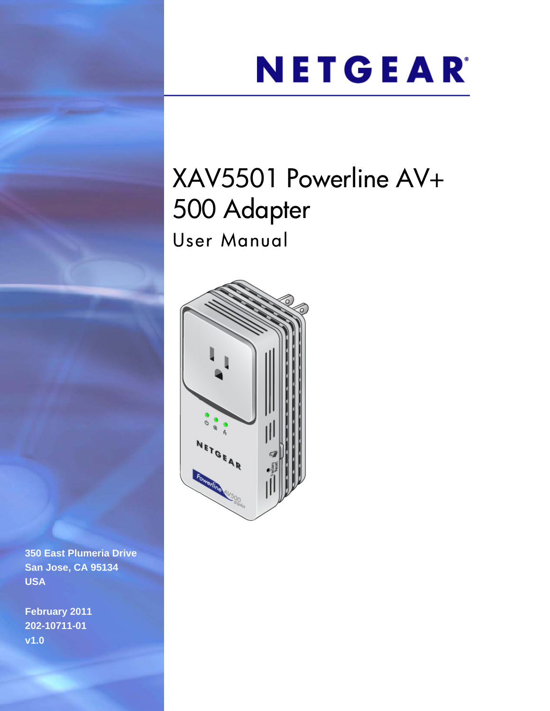# NETGEAR®

# XAV5501 Powerline AV+ 500 Adapter User Manual



**350 East Plumeria Drive San Jose, CA 95134 USA**

**February 2011 202-10711-01 v1.0**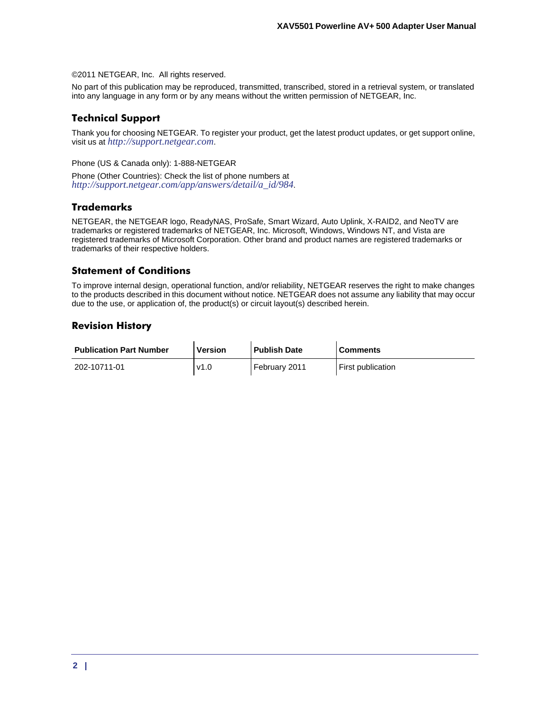©2011 NETGEAR, Inc. All rights reserved.

No part of this publication may be reproduced, transmitted, transcribed, stored in a retrieval system, or translated into any language in any form or by any means without the written permission of NETGEAR, Inc.

## <span id="page-1-0"></span>**Technical Support**

Thank you for choosing NETGEAR. To register your product, get the latest product updates, or get support online, visit us at *http://support.netgear.com*.

Phone (US & Canada only): 1-888-NETGEAR

Phone (Other Countries): Check the list of phone numbers at *http://support.netgear.com/app/answers/detail/a\_id/984*.

### <span id="page-1-1"></span>**Trademarks**

NETGEAR, the NETGEAR logo, ReadyNAS, ProSafe, Smart Wizard, Auto Uplink, X-RAID2, and NeoTV are trademarks or registered trademarks of NETGEAR, Inc. Microsoft, Windows, Windows NT, and Vista are registered trademarks of Microsoft Corporation. Other brand and product names are registered trademarks or trademarks of their respective holders.

### **Statement of Conditions**

To improve internal design, operational function, and/or reliability, NETGEAR reserves the right to make changes to the products described in this document without notice. NETGEAR does not assume any liability that may occur due to the use, or application of, the product(s) or circuit layout(s) described herein.

## **Revision History**

| <b>Publication Part Number</b> | <b>Version</b> | <b>Publish Date</b> | <b>Comments</b>   |
|--------------------------------|----------------|---------------------|-------------------|
| 202-10711-01                   | v1.0           | ' February 2011     | First publication |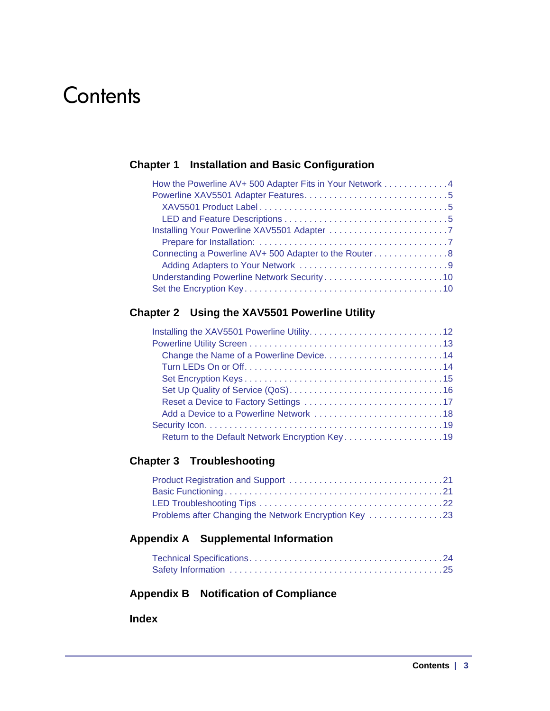# **Contents**

## **Chapter 1 [Installation and Basic Configuration](#page-3-0)**

| How the Powerline AV+ 500 Adapter Fits in Your Network 4 |
|----------------------------------------------------------|
|                                                          |
|                                                          |
|                                                          |
|                                                          |
|                                                          |
| Connecting a Powerline AV+ 500 Adapter to the Router8    |
|                                                          |
|                                                          |
|                                                          |

## **Chapter 2 [Using the XAV5501 Powerline Utility](#page-11-0)**

| Change the Name of a Powerline Device14        |
|------------------------------------------------|
|                                                |
|                                                |
|                                                |
|                                                |
|                                                |
|                                                |
| Return to the Default Network Encryption Key19 |

## **Chapter 3 [Troubleshooting](#page-20-0)**

## **Appendix A [Supplemental Information](#page-23-0)**

## **Appendix B [Notification of Compliance](#page-26-0)**

**[Index](#page-30-0)**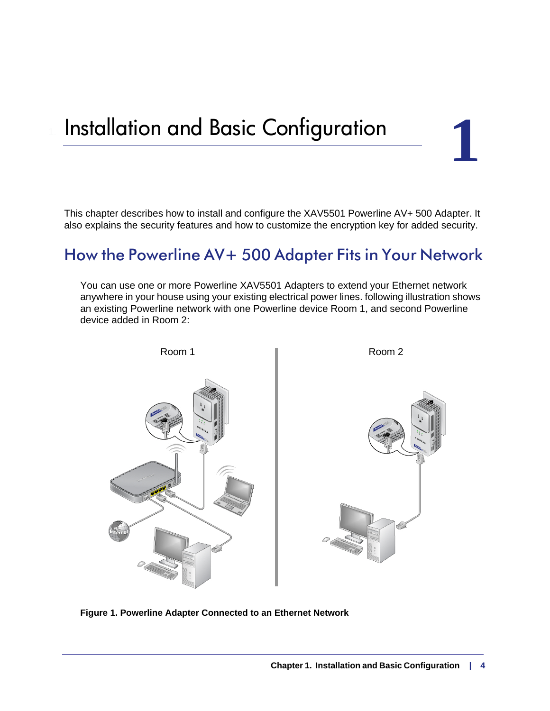# <span id="page-3-4"></span><span id="page-3-2"></span><span id="page-3-0"></span>**Installation and Basic Configuration**

This chapter describes how to install and configure the XAV5501 Powerline AV+ 500 Adapter. It also explains the security features and how to customize the encryption key for added security.

# <span id="page-3-1"></span>How the Powerline AV+ 500 Adapter Fits in Your Network

You can use one or more Powerline XAV5501 Adapters to extend your Ethernet network anywhere in your house using your existing electrical power lines. following illustration shows an existing Powerline network with one Powerline device Room 1, and second Powerline device added in Room 2:

<span id="page-3-3"></span>

**Figure 1. Powerline Adapter Connected to an Ethernet Network**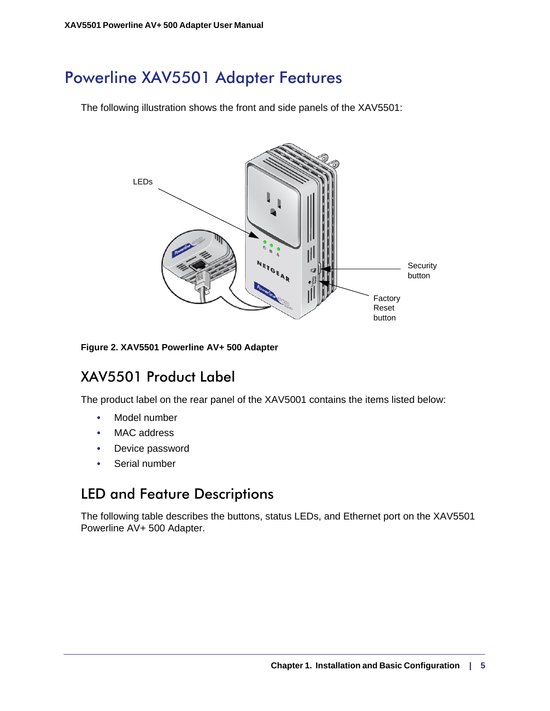# <span id="page-4-0"></span>Powerline XAV5501 Adapter Features

The following illustration shows the front and side panels of the XAV5501:

<span id="page-4-8"></span><span id="page-4-6"></span><span id="page-4-5"></span>

<span id="page-4-3"></span>**Figure 2. XAV5501 Powerline AV+ 500 Adapter**

# <span id="page-4-1"></span>XAV5501 Product Label

The product label on the rear panel of the XAV5001 contains the items listed below:

- <span id="page-4-7"></span>**•** Model number
- MAC address
- Device password
- Serial number

# <span id="page-4-4"></span><span id="page-4-2"></span>LED and Feature Descriptions

The following table describes the buttons, status LEDs, and Ethernet port on the XAV5501 Powerline AV+ 500 Adapter.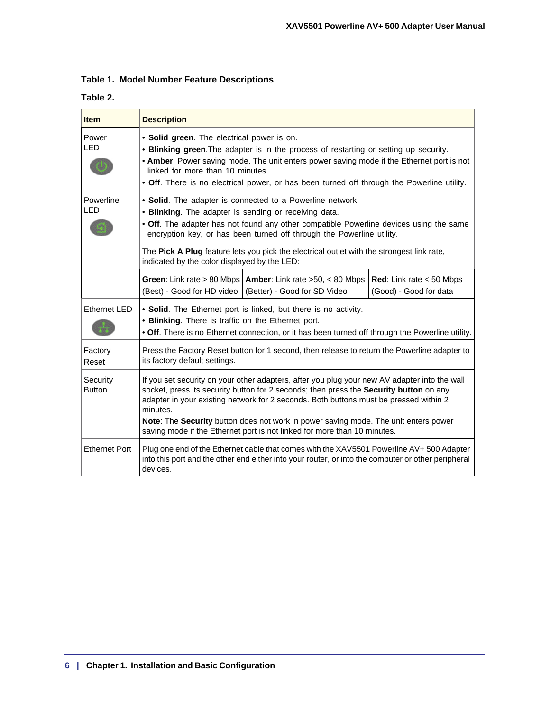<span id="page-5-0"></span>

|  |  |  |  | Table 1. Model Number Feature Descriptions |
|--|--|--|--|--------------------------------------------|
|--|--|--|--|--------------------------------------------|

### **Table 2.**

| <b>Item</b>               | <b>Description</b>                                                                                                                                                                                                                                                                                                                                                                                                                                             |                                                             |
|---------------------------|----------------------------------------------------------------------------------------------------------------------------------------------------------------------------------------------------------------------------------------------------------------------------------------------------------------------------------------------------------------------------------------------------------------------------------------------------------------|-------------------------------------------------------------|
| Power<br><b>LED</b>       | • Solid green. The electrical power is on.<br>. Blinking green. The adapter is in the process of restarting or setting up security.<br>. Amber. Power saving mode. The unit enters power saving mode if the Ethernet port is not<br>linked for more than 10 minutes.<br>• Off. There is no electrical power, or has been turned off through the Powerline utility.                                                                                             |                                                             |
| Powerline<br><b>LED</b>   | • Solid. The adapter is connected to a Powerline network.<br>• Blinking. The adapter is sending or receiving data.<br>• Off. The adapter has not found any other compatible Powerline devices using the same<br>encryption key, or has been turned off through the Powerline utility.                                                                                                                                                                          |                                                             |
|                           | The Pick A Plug feature lets you pick the electrical outlet with the strongest link rate,<br>indicated by the color displayed by the LED:                                                                                                                                                                                                                                                                                                                      |                                                             |
|                           | <b>Green:</b> Link rate > 80 Mbps   <b>Amber:</b> Link rate > 50, < 80 Mbps<br>(Better) - Good for SD Video<br>(Best) - Good for HD video                                                                                                                                                                                                                                                                                                                      | <b>Red:</b> Link rate $<$ 50 Mbps<br>(Good) - Good for data |
| <b>Ethernet LED</b>       | • Solid. The Ethernet port is linked, but there is no activity.<br>• Blinking. There is traffic on the Ethernet port.<br>. Off. There is no Ethernet connection, or it has been turned off through the Powerline utility.                                                                                                                                                                                                                                      |                                                             |
| Factory<br>Reset          | Press the Factory Reset button for 1 second, then release to return the Powerline adapter to<br>its factory default settings.                                                                                                                                                                                                                                                                                                                                  |                                                             |
| Security<br><b>Button</b> | If you set security on your other adapters, after you plug your new AV adapter into the wall<br>socket, press its security button for 2 seconds; then press the Security button on any<br>adapter in your existing network for 2 seconds. Both buttons must be pressed within 2<br>minutes.<br>Note: The Security button does not work in power saving mode. The unit enters power<br>saving mode if the Ethernet port is not linked for more than 10 minutes. |                                                             |
| <b>Ethernet Port</b>      | Plug one end of the Ethernet cable that comes with the XAV5501 Powerline AV+500 Adapter<br>into this port and the other end either into your router, or into the computer or other peripheral<br>devices.                                                                                                                                                                                                                                                      |                                                             |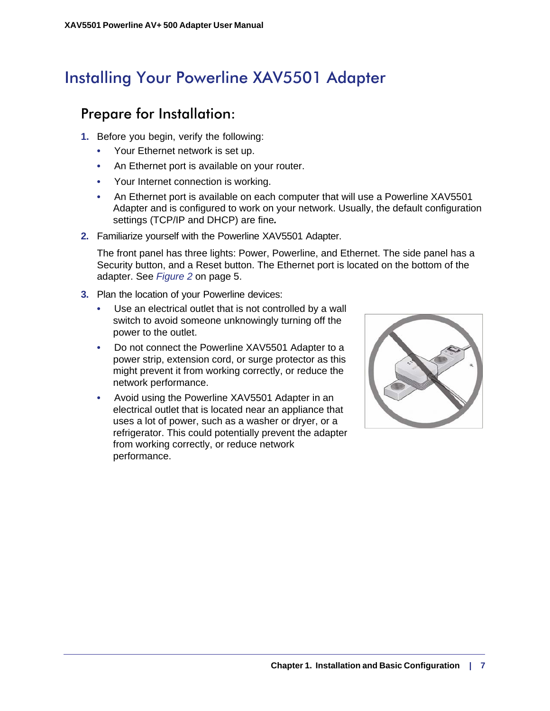# <span id="page-6-0"></span>Installing Your Powerline XAV5501 Adapter

# <span id="page-6-2"></span><span id="page-6-1"></span>Prepare for Installation:

- **1.** Before you begin, verify the following:
	- Your Ethernet network is set up.
	- An Ethernet port is available on your router.
	- Your Internet connection is working.
	- An Ethernet port is available on each computer that will use a Powerline XAV5501 Adapter and is configured to work on your network. Usually, the default configuration settings (TCP/IP and DHCP) are fine*.*
- **2.** Familiarize yourself with the Powerline XAV5501 Adapter.

The front panel has three lights: Power, Powerline, and Ethernet. The side panel has a Security button, and a Reset button. The Ethernet port is located on the bottom of the adapter. See *Figure 2* [on page](#page-4-3) 5.

- **3.** Plan the location of your Powerline devices:
	- Use an electrical outlet that is not controlled by a wall switch to avoid someone unknowingly turning off the power to the outlet.
	- Do not connect the Powerline XAV5501 Adapter to a power strip, extension cord, or surge protector as this might prevent it from working correctly, or reduce the network performance.
	- Avoid using the Powerline XAV5501 Adapter in an electrical outlet that is located near an appliance that uses a lot of power, such as a washer or dryer, or a refrigerator. This could potentially prevent the adapter from working correctly, or reduce network performance.

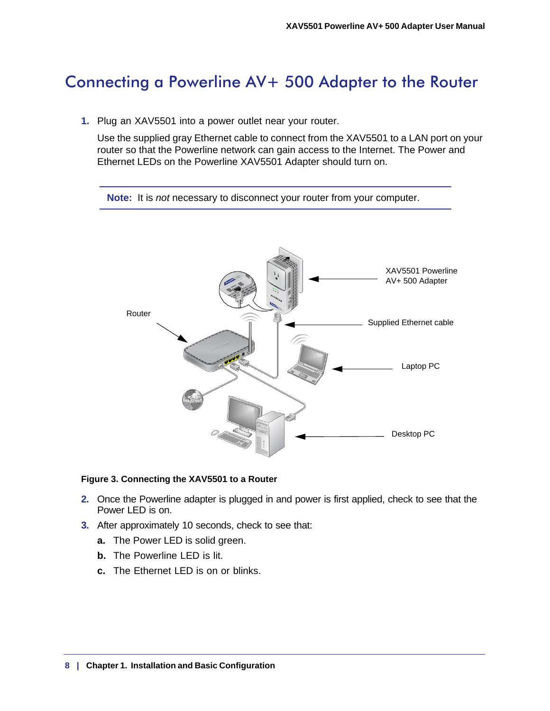# <span id="page-7-0"></span>Connecting a Powerline AV+ 500 Adapter to the Router

**1.** Plug an XAV5501 into a power outlet near your router.

<span id="page-7-1"></span>Use the supplied gray Ethernet cable to connect from the XAV5501 to a LAN port on your router so that the Powerline network can gain access to the Internet. The Power and Ethernet LEDs on the Powerline XAV5501 Adapter should turn on.





#### **Figure 3. Connecting the XAV5501 to a Router**

- **2.** Once the Powerline adapter is plugged in and power is first applied, check to see that the Power LED is on.
- **3.** After approximately 10 seconds, check to see that:
	- **a.** The Power LED is solid green.
	- **b.** The Powerline LED is lit.
	- **c.** The Ethernet LED is on or blinks.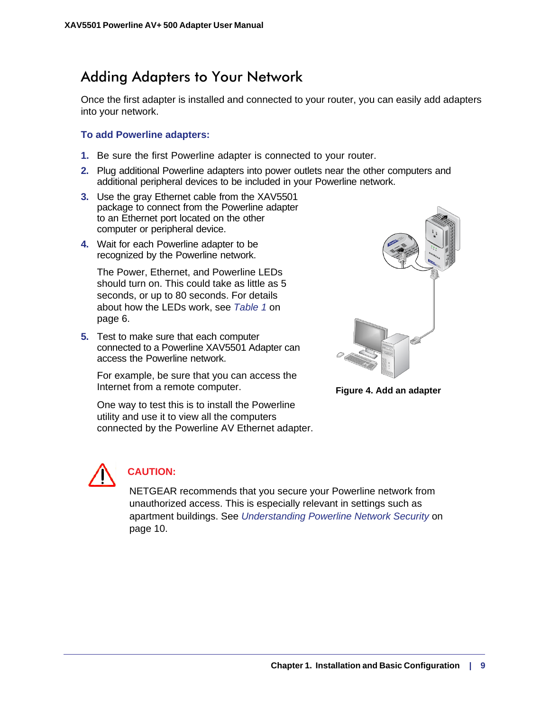# <span id="page-8-1"></span><span id="page-8-0"></span>Adding Adapters to Your Network

Once the first adapter is installed and connected to your router, you can easily add adapters into your network.

#### **To add Powerline adapters:**

- **1.** Be sure the first Powerline adapter is connected to your router.
- **2.** Plug additional Powerline adapters into power outlets near the other computers and additional peripheral devices to be included in your Powerline network.
- **3.** Use the gray Ethernet cable from the XAV5501 package to connect from the Powerline adapter to an Ethernet port located on the other computer or peripheral device.
- **4.** Wait for each Powerline adapter to be recognized by the Powerline network.

The Power, Ethernet, and Powerline LEDs should turn on. This could take as little as 5 seconds, or up to 80 seconds. For details about how the LEDs work, see *[Table](#page-5-0) 1* on [page](#page-5-0) 6.

**5.** Test to make sure that each computer connected to a Powerline XAV5501 Adapter can access the Powerline network.

For example, be sure that you can access the Internet from a remote computer.

One way to test this is to install the Powerline utility and use it to view all the computers connected by the Powerline AV Ethernet adapter.



**Figure 4. Add an adapter**



## **CAUTION:**

NETGEAR recommends that you secure your Powerline network from unauthorized access. This is especially relevant in settings such as apartment buildings. See *[Understanding Powerline Network Security](#page-9-0)* on [page](#page-9-0) 10.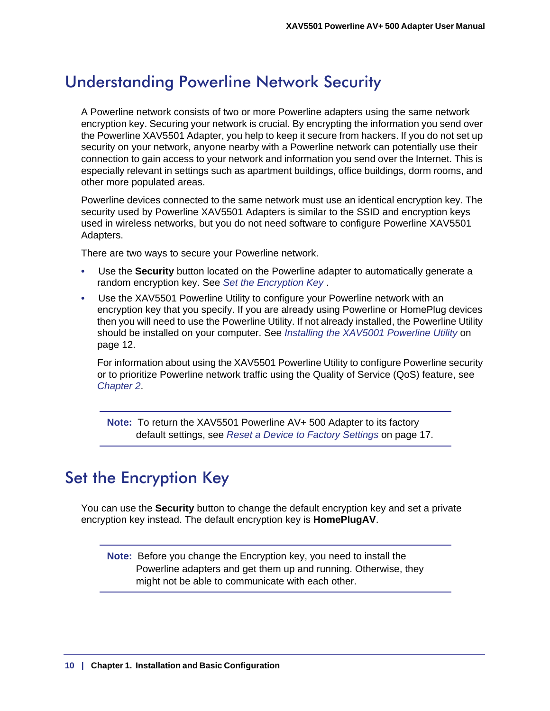# <span id="page-9-0"></span>Understanding Powerline Network Security

<span id="page-9-2"></span>A Powerline network consists of two or more Powerline adapters using the same network encryption key. Securing your network is crucial. By encrypting the information you send over the Powerline XAV5501 Adapter, you help to keep it secure from hackers. If you do not set up security on your network, anyone nearby with a Powerline network can potentially use their connection to gain access to your network and information you send over the Internet. This is especially relevant in settings such as apartment buildings, office buildings, dorm rooms, and other more populated areas.

Powerline devices connected to the same network must use an identical encryption key. The security used by Powerline XAV5501 Adapters is similar to the SSID and encryption keys used in wireless networks, but you do not need software to configure Powerline XAV5501 Adapters.

There are two ways to secure your Powerline network.

- Use the **Security** button located on the Powerline adapter to automatically generate a random encryption key. See *[Set the Encryption Key](#page-9-1)* .
- Use the XAV5501 Powerline Utility to configure your Powerline network with an encryption key that you specify. If you are already using Powerline or HomePlug devices then you will need to use the Powerline Utility. If not already installed, the Powerline Utility should be installed on your computer. See *Installing the XAV5001 Powerline Utility* on page 12.

For information about using the XAV5501 Powerline Utility to configure Powerline security or to prioritize Powerline network traffic using the Quality of Service (QoS) feature, see *[Chapter](#page-11-2) 2*.

**Note:** To return the XAV5501 Powerline AV+ 500 Adapter to its factory default settings, see *[Reset a Device to Factory Settings](#page-17-2)* on page 17.

# <span id="page-9-1"></span>Set the Encryption Key

You can use the **Security** button to change the default encryption key and set a private encryption key instead. The default encryption key is **HomePlugAV**.

**Note:** Before you change the Encryption key, you need to install the Powerline adapters and get them up and running. Otherwise, they might not be able to communicate with each other.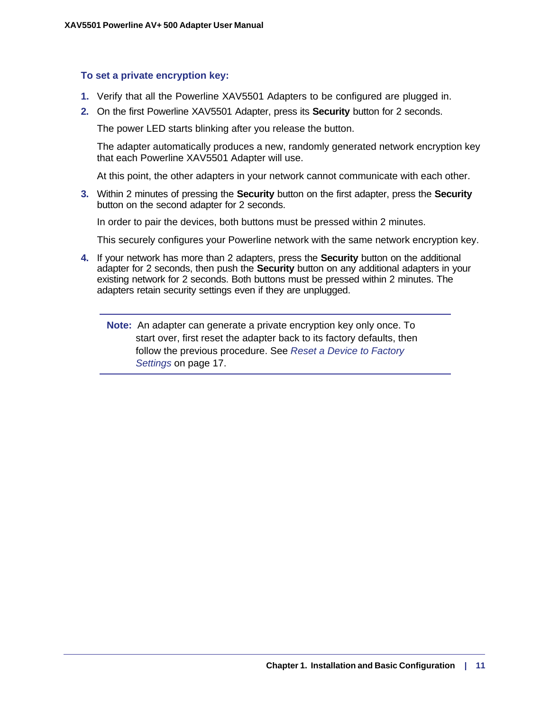#### **To set a private encryption key:**

- **1.** Verify that all the Powerline XAV5501 Adapters to be configured are plugged in.
- **2.** On the first Powerline XAV5501 Adapter, press its **Security** button for 2 seconds.

The power LED starts blinking after you release the button.

The adapter automatically produces a new, randomly generated network encryption key that each Powerline XAV5501 Adapter will use.

At this point, the other adapters in your network cannot communicate with each other.

**3.** Within 2 minutes of pressing the **Security** button on the first adapter, press the **Security** button on the second adapter for 2 seconds.

In order to pair the devices, both buttons must be pressed within 2 minutes.

This securely configures your Powerline network with the same network encryption key.

**4.** If your network has more than 2 adapters, press the **Security** button on the additional adapter for 2 seconds, then push the **Security** button on any additional adapters in your existing network for 2 seconds. Both buttons must be pressed within 2 minutes. The adapters retain security settings even if they are unplugged.

**Note:** An adapter can generate a private encryption key only once. To start over, first reset the adapter back to its factory defaults, then follow the previous procedure. See *Reset a Device to Factory Settings* on page 17.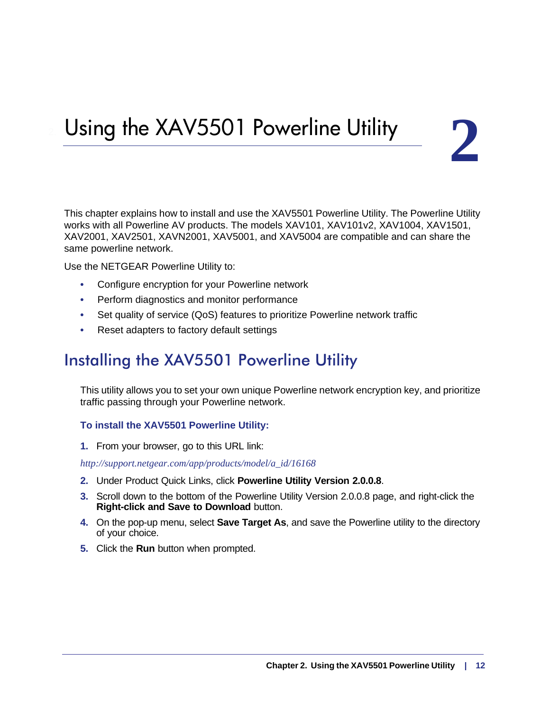# <span id="page-11-2"></span><span id="page-11-0"></span>Using the XAV5501 Powerline Utility 2

This chapter explains how to install and use the XAV5501 Powerline Utility. The Powerline Utility works with all Powerline AV products. The models XAV101, XAV101v2, XAV1004, XAV1501, XAV2001, XAV2501, XAVN2001, XAV5001, and XAV5004 are compatible and can share the same powerline network.

Use the NETGEAR Powerline Utility to:

- <span id="page-11-5"></span>**•** Configure encryption for your Powerline network
- Perform diagnostics and monitor performance
- Set quality of service (QoS) features to prioritize Powerline network traffic
- <span id="page-11-4"></span>**•** Reset adapters to factory default settings

# <span id="page-11-1"></span>Installing the XAV5501 Powerline Utility

This utility allows you to set your own unique Powerline network encryption key, and prioritize traffic passing through your Powerline network.

#### <span id="page-11-3"></span>**To install the XAV5501 Powerline Utility:**

**1.** From your browser, go to this URL link:

*http://support.netgear.com/app/products/model/a\_id/16168*

- **2.** Under Product Quick Links, click **Powerline Utility Version 2.0.0.8**.
- **3.** Scroll down to the bottom of the Powerline Utility Version 2.0.0.8 page, and right-click the **Right-click and Save to Download** button.
- **4.** On the pop-up menu, select **Save Target As**, and save the Powerline utility to the directory of your choice.
- **5.** Click the **Run** button when prompted.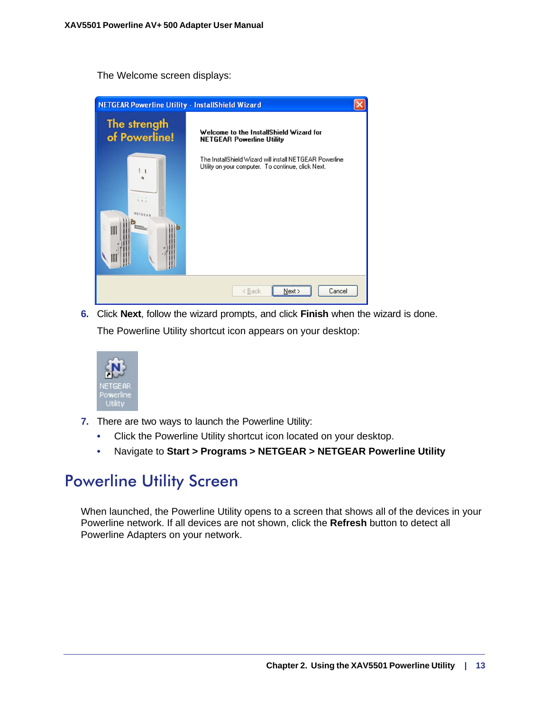The Welcome screen displays:

| <b>NETGEAR Powerline Utility - InstallShield Wizard</b> |                                                                                                               |  |
|---------------------------------------------------------|---------------------------------------------------------------------------------------------------------------|--|
| The strength<br>of Powerline!                           | Welcome to the InstallShield Wizard for<br><b>NETGEAR Powerline Utility</b>                                   |  |
| NITGEAR<br>III                                          | The InstallShield Wizard will install NETGEAR Powerline<br>Utility on your computer. To continue, click Next. |  |
|                                                         | Cancel<br>< Back<br>Next >                                                                                    |  |

**6.** Click **Next**, follow the wizard prompts, and click **Finish** when the wizard is done. The Powerline Utility shortcut icon appears on your desktop:



- **7.** There are two ways to launch the Powerline Utility:
	- Click the Powerline Utility shortcut icon located on your desktop.
	- Navigate to **Start > Programs > NETGEAR > NETGEAR Powerline Utility**

# <span id="page-12-0"></span>Powerline Utility Screen

When launched, the Powerline Utility opens to a screen that shows all of the devices in your Powerline network. If all devices are not shown, click the **Refresh** button to detect all Powerline Adapters on your network.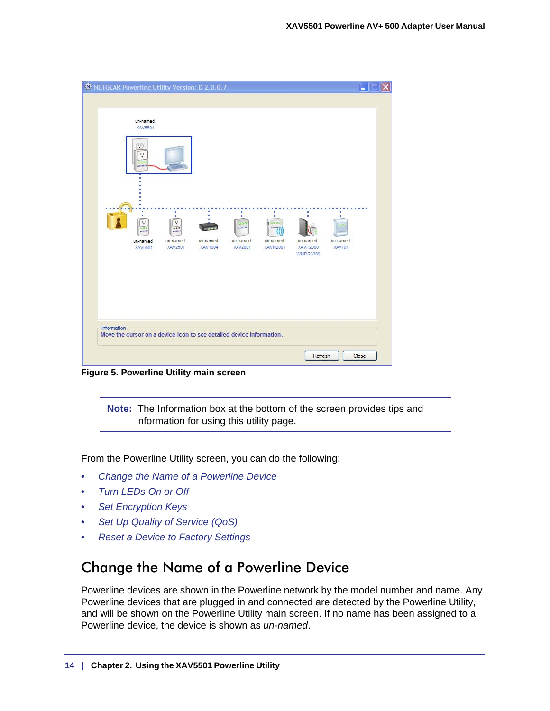| <b>ND</b> NETGEAR Powerline Utility Version: D 2.0.0.7 |                                                      |                                                                      |                     |                                       |                                                |                                         | ۰                  |  |
|--------------------------------------------------------|------------------------------------------------------|----------------------------------------------------------------------|---------------------|---------------------------------------|------------------------------------------------|-----------------------------------------|--------------------|--|
|                                                        | un-named<br>XAV5501<br>v<br>11<br><b>MANUFACTURE</b> |                                                                      |                     |                                       |                                                |                                         |                    |  |
|                                                        | v<br>un-named<br>XAV5501                             | ÷,<br><br>un-named<br>XAV2501                                        | un-named<br>XAV1004 | 000<br>weterak<br>un-named<br>XAV2001 | 3000<br>anteres.<br>H)<br>un-named<br>XAVN2001 | un-named<br>XAVP2000<br><b>WNDR3300</b> | un-named<br>XAV101 |  |
| Information                                            |                                                      | Move the cursor on a device icon to see detailed device information. |                     |                                       |                                                |                                         |                    |  |

**Figure 5. Powerline Utility main screen**

**Note:** The Information box at the bottom of the screen provides tips and information for using this utility page.

From the Powerline Utility screen, you can do the following:

- *[Change the Name of a Powerline Device](#page-13-0)*
- *[Turn LEDs On or Off](#page-14-0)*
- *[Set Encryption Keys](#page-14-1)*
- *[Set Up Quality of Service \(QoS\)](#page-15-0)*
- *[Reset a Device to Factory Settings](#page-17-0)*

# <span id="page-13-0"></span>Change the Name of a Powerline Device

Powerline devices are shown in the Powerline network by the model number and name. Any Powerline devices that are plugged in and connected are detected by the Powerline Utility, and will be shown on the Powerline Utility main screen. If no name has been assigned to a Powerline device, the device is shown as *un-named*.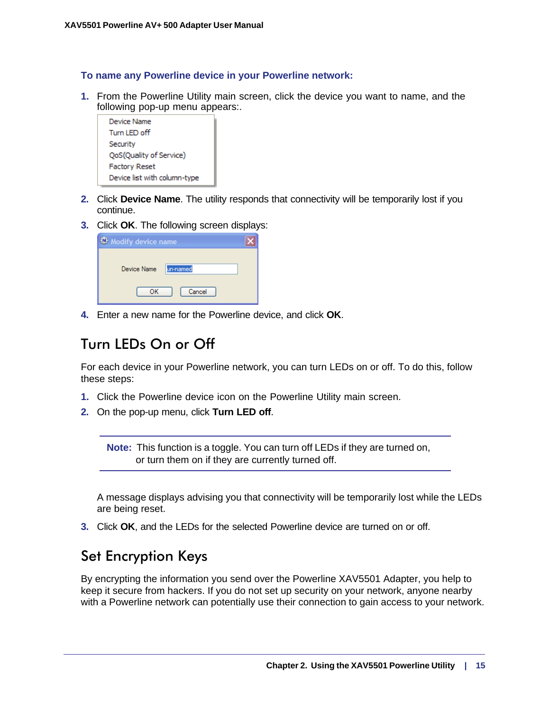#### **To name any Powerline device in your Powerline network:**

**1.** From the Powerline Utility main screen, click the device you want to name, and the following pop-up menu appears:.



- **2.** Click **Device Name**. The utility responds that connectivity will be temporarily lost if you continue.
- **3.** Click **OK**. The following screen displays:

| My Modify device name   |
|-------------------------|
|                         |
| Device Name<br>un-named |
| Cancel<br>ок            |

**4.** Enter a new name for the Powerline device, and click **OK**.

# <span id="page-14-0"></span>Turn LEDs On or Off

For each device in your Powerline network, you can turn LEDs on or off. To do this, follow these steps:

- **1.** Click the Powerline device icon on the Powerline Utility main screen.
- **2.** On the pop-up menu, click **Turn LED off**.

**Note:** This function is a toggle. You can turn off LEDs if they are turned on, or turn them on if they are currently turned off.

A message displays advising you that connectivity will be temporarily lost while the LEDs are being reset.

**3.** Click **OK**, and the LEDs for the selected Powerline device are turned on or off.

## <span id="page-14-1"></span>Set Encryption Keys

By encrypting the information you send over the Powerline XAV5501 Adapter, you help to keep it secure from hackers. If you do not set up security on your network, anyone nearby with a Powerline network can potentially use their connection to gain access to your network.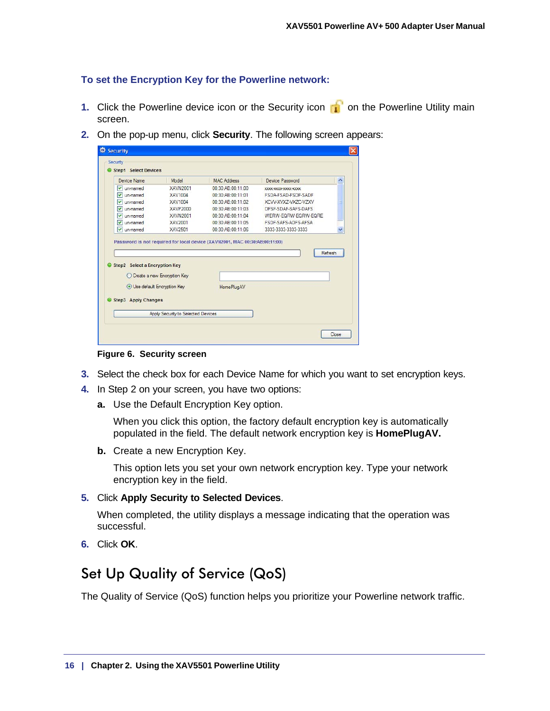## **To set the Encryption Key for the Powerline network:**

- **1.** Click the Powerline device icon or the Security icon **of** on the Powerline Utility main screen.
- **2.** On the pop-up menu, click **Security**. The following screen appears:

| Device Name                         | Model                         | MAC Address                                                                 | Device Password            | ٨            |
|-------------------------------------|-------------------------------|-----------------------------------------------------------------------------|----------------------------|--------------|
| un-named<br>▽                       | <b>XAVN2001</b>               | 00:30:AB:00:11:00                                                           | XXXX-XXXX-XXXXX-XXXXX      |              |
| ◡<br>un-named                       | XAV1004                       | 00:30:AB:00:11:01                                                           | FSDA-FSAD-FSDF-SADF        |              |
| un-named<br>M                       | XAV1004                       | 00:30:AB:00:11:02                                                           | XCW-XVX7-VX7C-V7XV         | ≣            |
| M<br>un-named                       | <b>XAVP2000</b>               | 00:30:AB:00:11:03                                                           | DFSF-SDAF-SAFS-DAFS        |              |
| un-named<br>▽                       | XAVN2001                      | 00:30:AB:00:11:04                                                           | WFRW-FORW-FORW-FORF        |              |
| un-named<br>M                       | XAV2001                       | 00:30:AB:00:11:05                                                           | <b>FSDE-SAES-ADES-AESA</b> |              |
| ☑<br>un-named                       | XAV2501                       | 00:30:AB:00:11:06                                                           | 3333-3333-3333-3333        | $\checkmark$ |
|                                     |                               | Password is not required for local device (XAVN2001, MAC 00:30:AB:00:11:00) | Refresh                    |              |
| Step2 Select a Encryption Key       |                               |                                                                             |                            |              |
| <b>O</b> Use default Encryption Key | C Create a new Encryption Key | <b>HomePlugAV</b>                                                           |                            |              |
| Step3 Apply Changes                 |                               |                                                                             |                            |              |

**Figure 6. Security screen**

- **3.** Select the check box for each Device Name for which you want to set encryption keys.
- **4.** In Step 2 on your screen, you have two options:
	- **a.** Use the Default Encryption Key option.

When you click this option, the factory default encryption key is automatically populated in the field. The default network encryption key is **HomePlugAV.**

**b.** Create a new Encryption Key.

This option lets you set your own network encryption key. Type your network encryption key in the field.

**5.** Click **Apply Security to Selected Devices**.

When completed, the utility displays a message indicating that the operation was successful.

**6.** Click **OK**.

# <span id="page-15-0"></span>Set Up Quality of Service (QoS)

The Quality of Service (QoS) function helps you prioritize your Powerline network traffic.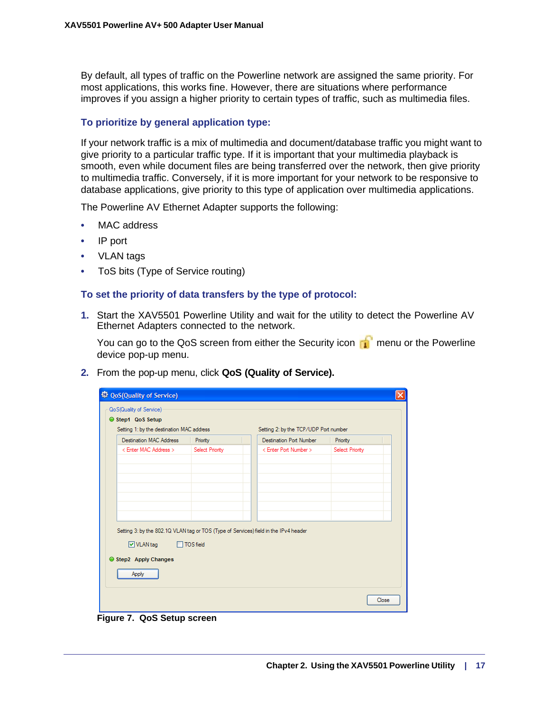By default, all types of traffic on the Powerline network are assigned the same priority. For most applications, this works fine. However, there are situations where performance improves if you assign a higher priority to certain types of traffic, such as multimedia files.

#### **To prioritize by general application type:**

If your network traffic is a mix of multimedia and document/database traffic you might want to give priority to a particular traffic type. If it is important that your multimedia playback is smooth, even while document files are being transferred over the network, then give priority to multimedia traffic. Conversely, if it is more important for your network to be responsive to database applications, give priority to this type of application over multimedia applications.

The Powerline AV Ethernet Adapter supports the following:

- MAC address
- IP port
- VLAN tags
- ToS bits (Type of Service routing)

#### **To set the priority of data transfers by the type of protocol:**

**1.** Start the XAV5501 Powerline Utility and wait for the utility to detect the Powerline AV Ethernet Adapters connected to the network.

You can go to the QoS screen from either the Security icon  $\mathbb{R}^n$  menu or the Powerline device pop-up menu.

**2.** From the pop-up menu, click **QoS (Quality of Service).**

| Step1 QoS Setup<br>Setting 1: by the destination MAC address |                  | Setting 2: by the TCP/UDP Port number                                                |                 |  |
|--------------------------------------------------------------|------------------|--------------------------------------------------------------------------------------|-----------------|--|
| <b>Destination MAC Address</b>                               | Priority         | Destination Port Number                                                              | Priority        |  |
| < Enter MAC Address >                                        | Select Priority  | < Enter Port Number >                                                                | Select Priority |  |
| $\triangledown$ VLAN tag<br>Step2 Apply Changes              | <b>TOS field</b> | Setting 3: by the 802.1Q VLAN tag or TOS (Type of Services) field in the IPv4 header |                 |  |
| Apply                                                        |                  |                                                                                      |                 |  |

**Figure 7. QoS Setup screen**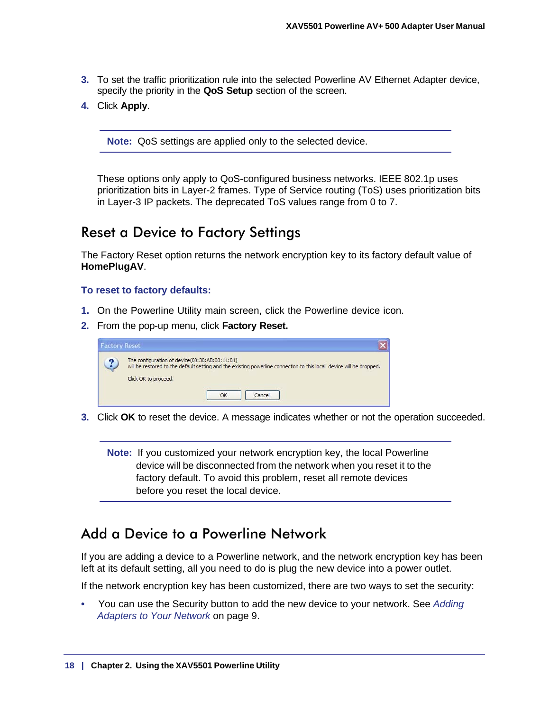- **3.** To set the traffic prioritization rule into the selected Powerline AV Ethernet Adapter device, specify the priority in the **QoS Setup** section of the screen.
- **4.** Click **Apply**.

**Note:** QoS settings are applied only to the selected device.

These options only apply to QoS-configured business networks. IEEE 802.1p uses prioritization bits in Layer-2 frames. Type of Service routing (ToS) uses prioritization bits in Layer-3 IP packets. The deprecated ToS values range from 0 to 7.

## <span id="page-17-2"></span><span id="page-17-0"></span>Reset a Device to Factory Settings

The Factory Reset option returns the network encryption key to its factory default value of **HomePlugAV**.

#### **To reset to factory defaults:**

- **1.** On the Powerline Utility main screen, click the Powerline device icon.
- **2.** From the pop-up menu, click **Factory Reset.**

| <b>Factory Reset</b> |                                                                                                                                                                                                         |  |
|----------------------|---------------------------------------------------------------------------------------------------------------------------------------------------------------------------------------------------------|--|
|                      | The configuration of device(00:30:AB:00:11:01)<br>will be restored to the default setting and the existing powerline connection to this local device will be dropped.<br>Click OK to proceed.<br>Cancel |  |

**3.** Click **OK** to reset the device. A message indicates whether or not the operation succeeded.

**Note:** If you customized your network encryption key, the local Powerline device will be disconnected from the network when you reset it to the factory default. To avoid this problem, reset all remote devices before you reset the local device.

## <span id="page-17-1"></span>Add a Device to a Powerline Network

<span id="page-17-3"></span>If you are adding a device to a Powerline network, and the network encryption key has been left at its default setting, all you need to do is plug the new device into a power outlet.

If the network encryption key has been customized, there are two ways to set the security:

**•** You can use the Security button to add the new device to your network. See *[Adding](#page-8-1)  [Adapters to Your Network](#page-8-1)* on page 9.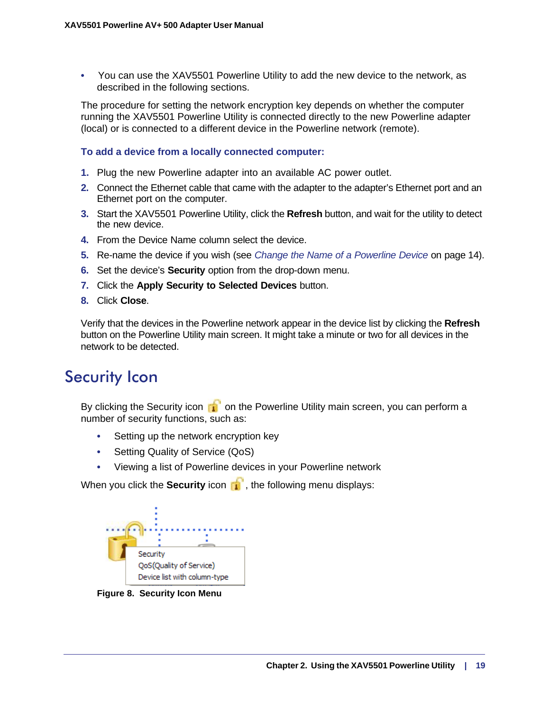**•** You can use the XAV5501 Powerline Utility to add the new device to the network, as described in the following sections.

The procedure for setting the network encryption key depends on whether the computer running the XAV5501 Powerline Utility is connected directly to the new Powerline adapter (local) or is connected to a different device in the Powerline network (remote).

### **To add a device from a locally connected computer:**

- **1.** Plug the new Powerline adapter into an available AC power outlet.
- **2.** Connect the Ethernet cable that came with the adapter to the adapter's Ethernet port and an Ethernet port on the computer.
- **3.** Start the XAV5501 Powerline Utility, click the **Refresh** button, and wait for the utility to detect the new device.
- **4.** From the Device Name column select the device.
- **5.** Re-name the device if you wish (see *[Change the Name of a Powerline Device](#page-13-0)* on page 14).
- **6.** Set the device's **Security** option from the drop-down menu.
- **7.** Click the **Apply Security to Selected Devices** button.
- **8.** Click **Close**.

Verify that the devices in the Powerline network appear in the device list by clicking the **Refresh** button on the Powerline Utility main screen. It might take a minute or two for all devices in the network to be detected.

# <span id="page-18-1"></span><span id="page-18-0"></span>Security Icon

By clicking the Security icon **on** on the Powerline Utility main screen, you can perform a number of security functions, such as:

- Setting up the network encryption key
- Setting Quality of Service (QoS)
- Viewing a list of Powerline devices in your Powerline network

When you click the **Security** icon **in**, the following menu displays:



**Figure 8. Security Icon Menu**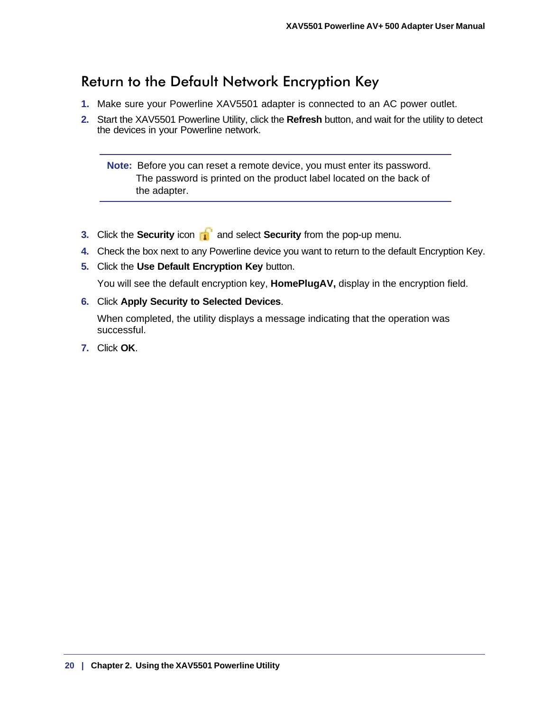# <span id="page-19-0"></span>Return to the Default Network Encryption Key

- **1.** Make sure your Powerline XAV5501 adapter is connected to an AC power outlet.
- **2.** Start the XAV5501 Powerline Utility, click the **Refresh** button, and wait for the utility to detect the devices in your Powerline network.

<span id="page-19-1"></span>**Note:** Before you can reset a remote device, you must enter its password. The password is printed on the product label located on the back of the adapter.

- **3.** Click the **Security** icon **and select Security** from the pop-up menu.
- **4.** Check the box next to any Powerline device you want to return to the default Encryption Key.
- **5.** Click the **Use Default Encryption Key** button.

You will see the default encryption key, **HomePlugAV,** display in the encryption field.

**6.** Click **Apply Security to Selected Devices**.

When completed, the utility displays a message indicating that the operation was successful.

**7.** Click **OK**.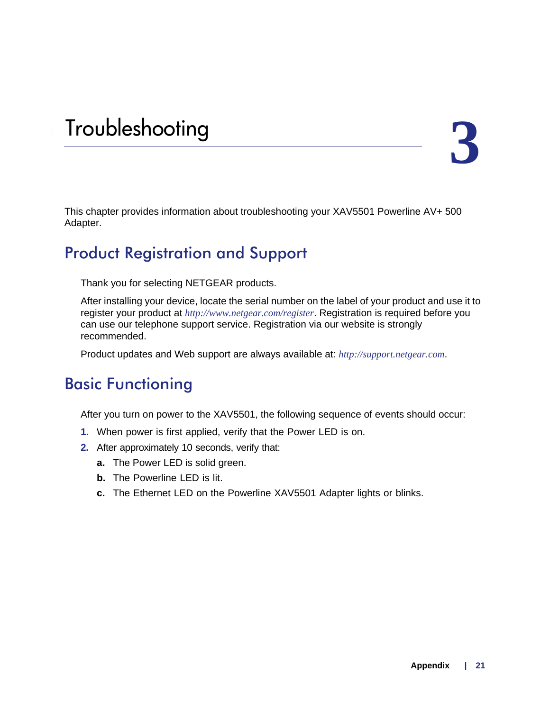# <span id="page-20-6"></span><span id="page-20-0"></span>**3** 3. Troubleshooting

This chapter provides information about troubleshooting your XAV5501 Powerline AV+ 500 Adapter.

# <span id="page-20-1"></span>Product Registration and Support

Thank you for selecting NETGEAR products.

<span id="page-20-5"></span>After installing your device, locate the serial number on the label of your product and use it to register your product at *http://www.netgear.com/register*. Registration is required before you can use our telephone support service. Registration via our website is strongly recommended.

<span id="page-20-4"></span><span id="page-20-3"></span>Product updates and Web support are always available at: *[http://support.netgear.com](http://www.netgear.com/support)*.

# <span id="page-20-2"></span>Basic Functioning

After you turn on power to the XAV5501, the following sequence of events should occur:

- **1.** When power is first applied, verify that the Power LED is on.
- **2.** After approximately 10 seconds, verify that:
	- **a.** The Power LED is solid green.
	- **b.** The Powerline LED is lit.
	- **c.** The Ethernet LED on the Powerline XAV5501 Adapter lights or blinks.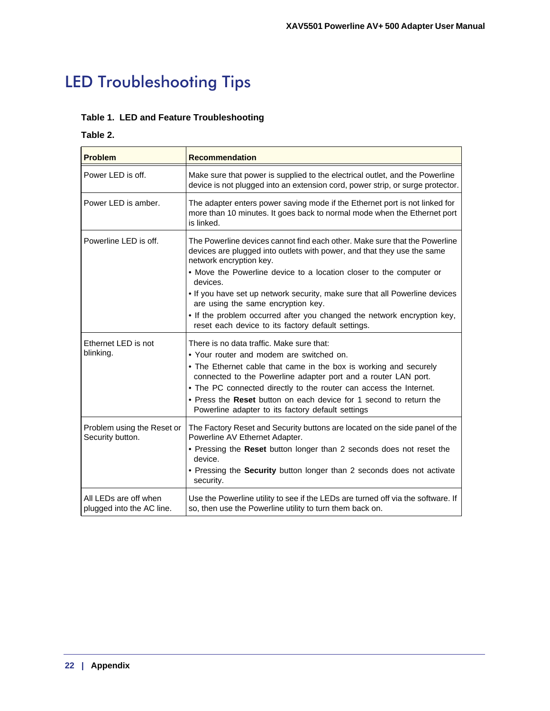# <span id="page-21-1"></span><span id="page-21-0"></span>LED Troubleshooting Tips

## **Table 1. LED and Feature Troubleshooting**

## **Table 2.**

| <b>Problem</b>                                     | <b>Recommendation</b>                                                                                                                                                                                                                                                                                                                                                                                                         |
|----------------------------------------------------|-------------------------------------------------------------------------------------------------------------------------------------------------------------------------------------------------------------------------------------------------------------------------------------------------------------------------------------------------------------------------------------------------------------------------------|
| Power LED is off.                                  | Make sure that power is supplied to the electrical outlet, and the Powerline<br>device is not plugged into an extension cord, power strip, or surge protector.                                                                                                                                                                                                                                                                |
| Power LED is amber.                                | The adapter enters power saving mode if the Ethernet port is not linked for<br>more than 10 minutes. It goes back to normal mode when the Ethernet port<br>is linked.                                                                                                                                                                                                                                                         |
| Powerline LED is off.                              | The Powerline devices cannot find each other. Make sure that the Powerline<br>devices are plugged into outlets with power, and that they use the same<br>network encryption key.<br>• Move the Powerline device to a location closer to the computer or                                                                                                                                                                       |
|                                                    | devices.<br>. If you have set up network security, make sure that all Powerline devices<br>are using the same encryption key.<br>. If the problem occurred after you changed the network encryption key,<br>reset each device to its factory default settings.                                                                                                                                                                |
| Ethernet LED is not<br>blinking.                   | There is no data traffic. Make sure that:<br>• Your router and modem are switched on.<br>• The Ethernet cable that came in the box is working and securely<br>connected to the Powerline adapter port and a router LAN port.<br>• The PC connected directly to the router can access the Internet.<br>• Press the Reset button on each device for 1 second to return the<br>Powerline adapter to its factory default settings |
| Problem using the Reset or<br>Security button.     | The Factory Reset and Security buttons are located on the side panel of the<br>Powerline AV Ethernet Adapter.<br>. Pressing the Reset button longer than 2 seconds does not reset the<br>device.<br>. Pressing the Security button longer than 2 seconds does not activate<br>security.                                                                                                                                       |
| All LEDs are off when<br>plugged into the AC line. | Use the Powerline utility to see if the LEDs are turned off via the software. If<br>so, then use the Powerline utility to turn them back on.                                                                                                                                                                                                                                                                                  |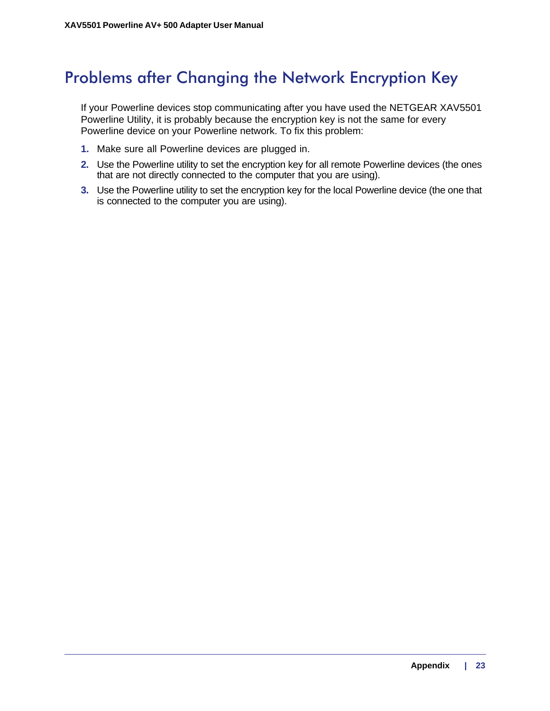# <span id="page-22-0"></span>Problems after Changing the Network Encryption Key

If your Powerline devices stop communicating after you have used the NETGEAR XAV5501 Powerline Utility, it is probably because the encryption key is not the same for every Powerline device on your Powerline network. To fix this problem:

- **1.** Make sure all Powerline devices are plugged in.
- **2.** Use the Powerline utility to set the encryption key for all remote Powerline devices (the ones that are not directly connected to the computer that you are using).
- **3.** Use the Powerline utility to set the encryption key for the local Powerline device (the one that is connected to the computer you are using).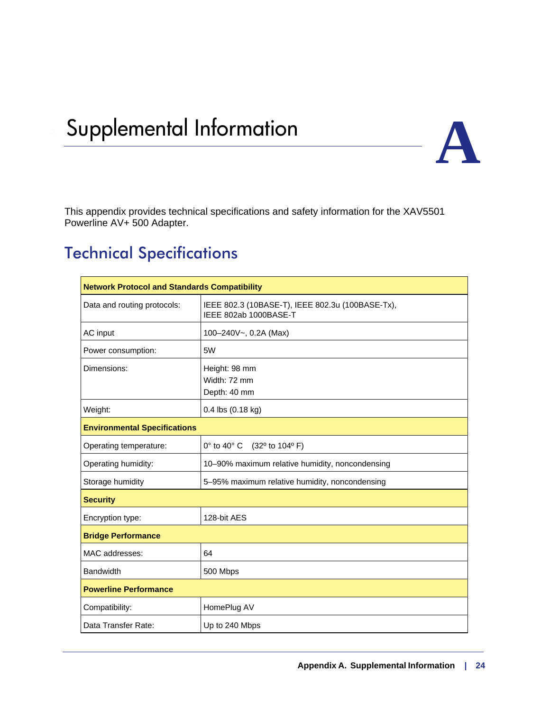# <span id="page-23-0"></span>**Supplemental Information**



<span id="page-23-2"></span>This appendix provides technical specifications and safety information for the XAV5501 Powerline AV+ 500 Adapter.

# <span id="page-23-1"></span>Technical Specifications

| <b>Network Protocol and Standards Compatibility</b> |                                                                           |  |  |  |  |
|-----------------------------------------------------|---------------------------------------------------------------------------|--|--|--|--|
| Data and routing protocols:                         | IEEE 802.3 (10BASE-T), IEEE 802.3u (100BASE-Tx),<br>IEEE 802ab 1000BASE-T |  |  |  |  |
| AC input                                            | 100-240V~, 0.2A (Max)                                                     |  |  |  |  |
| Power consumption:                                  | 5W                                                                        |  |  |  |  |
| Dimensions:                                         | Height: 98 mm<br>Width: 72 mm<br>Depth: 40 mm                             |  |  |  |  |
| Weight:                                             | 0.4 lbs (0.18 kg)                                                         |  |  |  |  |
| <b>Environmental Specifications</b>                 |                                                                           |  |  |  |  |
| Operating temperature:                              | $0^\circ$ to $40^\circ$ C<br>(32º to 104º F)                              |  |  |  |  |
| Operating humidity:                                 | 10-90% maximum relative humidity, noncondensing                           |  |  |  |  |
| Storage humidity                                    | 5-95% maximum relative humidity, noncondensing                            |  |  |  |  |
| <b>Security</b>                                     |                                                                           |  |  |  |  |
| Encryption type:                                    | 128-bit AES                                                               |  |  |  |  |
| <b>Bridge Performance</b>                           |                                                                           |  |  |  |  |
| MAC addresses:                                      | 64                                                                        |  |  |  |  |
| <b>Bandwidth</b>                                    | 500 Mbps                                                                  |  |  |  |  |
| <b>Powerline Performance</b>                        |                                                                           |  |  |  |  |
| Compatibility:                                      | HomePlug AV                                                               |  |  |  |  |
| Data Transfer Rate:                                 | Up to 240 Mbps                                                            |  |  |  |  |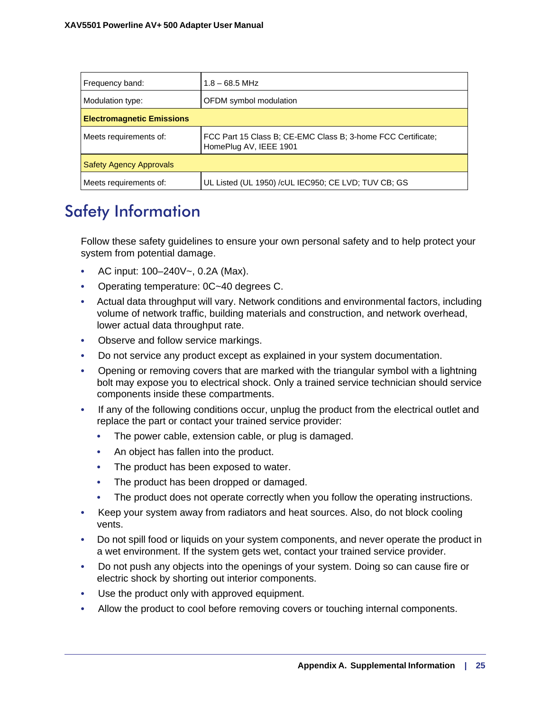| Frequency band:                  | $1.8 - 68.5$ MHz                                                                       |  |  |  |
|----------------------------------|----------------------------------------------------------------------------------------|--|--|--|
| Modulation type:                 | OFDM symbol modulation                                                                 |  |  |  |
| <b>Electromagnetic Emissions</b> |                                                                                        |  |  |  |
| Meets requirements of:           | FCC Part 15 Class B; CE-EMC Class B; 3-home FCC Certificate;<br>HomePlug AV, IEEE 1901 |  |  |  |
| <b>Safety Agency Approvals</b>   |                                                                                        |  |  |  |
| Meets requirements of:           | UL Listed (UL 1950) / cUL IEC950; CE LVD; TUV CB; GS                                   |  |  |  |

# <span id="page-24-1"></span><span id="page-24-0"></span>Safety Information

Follow these safety guidelines to ensure your own personal safety and to help protect your system from potential damage.

- AC input: 100–240V~, 0.2A (Max).
- Operating temperature: 0C~40 degrees C.
- Actual data throughput will vary. Network conditions and environmental factors, including volume of network traffic, building materials and construction, and network overhead, lower actual data throughput rate.
- Observe and follow service markings.
- Do not service any product except as explained in your system documentation.
- Opening or removing covers that are marked with the triangular symbol with a lightning bolt may expose you to electrical shock. Only a trained service technician should service components inside these compartments.
- If any of the following conditions occur, unplug the product from the electrical outlet and replace the part or contact your trained service provider:
	- The power cable, extension cable, or plug is damaged.
	- An object has fallen into the product.
	- The product has been exposed to water.
	- The product has been dropped or damaged.
	- The product does not operate correctly when you follow the operating instructions.
- Keep your system away from radiators and heat sources. Also, do not block cooling vents.
- Do not spill food or liquids on your system components, and never operate the product in a wet environment. If the system gets wet, contact your trained service provider.
- Do not push any objects into the openings of your system. Doing so can cause fire or electric shock by shorting out interior components.
- Use the product only with approved equipment.
- Allow the product to cool before removing covers or touching internal components.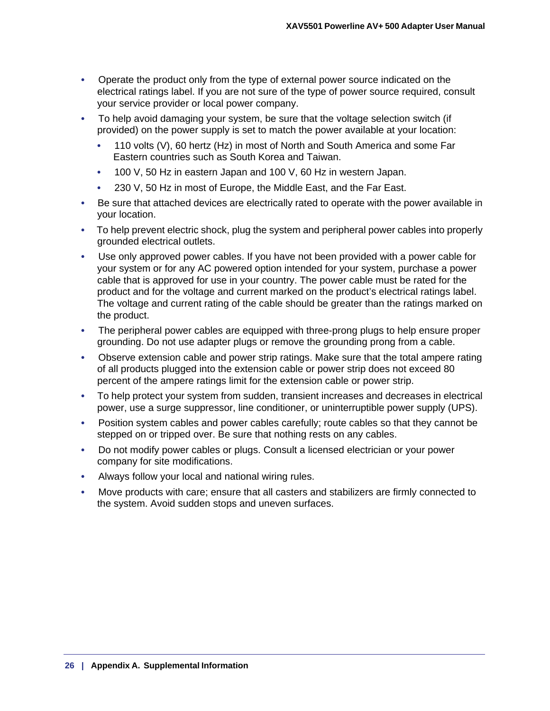- Operate the product only from the type of external power source indicated on the electrical ratings label. If you are not sure of the type of power source required, consult your service provider or local power company.
- To help avoid damaging your system, be sure that the voltage selection switch (if provided) on the power supply is set to match the power available at your location:
	- 110 volts (V), 60 hertz (Hz) in most of North and South America and some Far Eastern countries such as South Korea and Taiwan.
	- 100 V, 50 Hz in eastern Japan and 100 V, 60 Hz in western Japan.
	- 230 V, 50 Hz in most of Europe, the Middle East, and the Far East.
- Be sure that attached devices are electrically rated to operate with the power available in your location.
- To help prevent electric shock, plug the system and peripheral power cables into properly grounded electrical outlets.
- Use only approved power cables. If you have not been provided with a power cable for your system or for any AC powered option intended for your system, purchase a power cable that is approved for use in your country. The power cable must be rated for the product and for the voltage and current marked on the product's electrical ratings label. The voltage and current rating of the cable should be greater than the ratings marked on the product.
- The peripheral power cables are equipped with three-prong plugs to help ensure proper grounding. Do not use adapter plugs or remove the grounding prong from a cable.
- Observe extension cable and power strip ratings. Make sure that the total ampere rating of all products plugged into the extension cable or power strip does not exceed 80 percent of the ampere ratings limit for the extension cable or power strip.
- To help protect your system from sudden, transient increases and decreases in electrical power, use a surge suppressor, line conditioner, or uninterruptible power supply (UPS).
- Position system cables and power cables carefully; route cables so that they cannot be stepped on or tripped over. Be sure that nothing rests on any cables.
- Do not modify power cables or plugs. Consult a licensed electrician or your power company for site modifications.
- Always follow your local and national wiring rules.
- Move products with care; ensure that all casters and stabilizers are firmly connected to the system. Avoid sudden stops and uneven surfaces.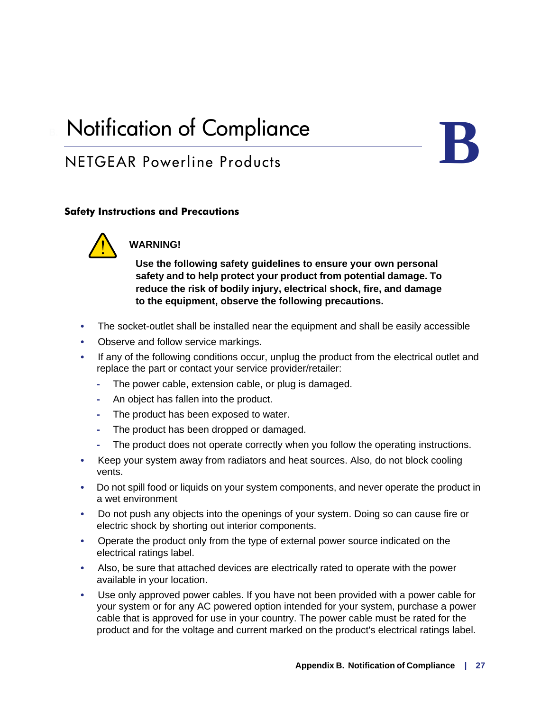# <span id="page-26-1"></span><span id="page-26-0"></span>**Notification of Compliance**

# NETGEAR Powerline Products

## **Safety Instructions and Precautions**



## **WARNING!**

**Use the following safety guidelines to ensure your own personal safety and to help protect your product from potential damage. To reduce the risk of bodily injury, electrical shock, fire, and damage to the equipment, observe the following precautions.** 

- The socket-outlet shall be installed near the equipment and shall be easily accessible
- Observe and follow service markings.
- If any of the following conditions occur, unplug the product from the electrical outlet and replace the part or contact your service provider/retailer:
	- **-** The power cable, extension cable, or plug is damaged.
	- **-** An object has fallen into the product.
	- **-** The product has been exposed to water.
	- **-** The product has been dropped or damaged.
	- **-** The product does not operate correctly when you follow the operating instructions.
- Keep your system away from radiators and heat sources. Also, do not block cooling vents.
- Do not spill food or liquids on your system components, and never operate the product in a wet environment
- Do not push any objects into the openings of your system. Doing so can cause fire or electric shock by shorting out interior components.
- Operate the product only from the type of external power source indicated on the electrical ratings label.
- Also, be sure that attached devices are electrically rated to operate with the power available in your location.
- Use only approved power cables. If you have not been provided with a power cable for your system or for any AC powered option intended for your system, purchase a power cable that is approved for use in your country. The power cable must be rated for the product and for the voltage and current marked on the product's electrical ratings label.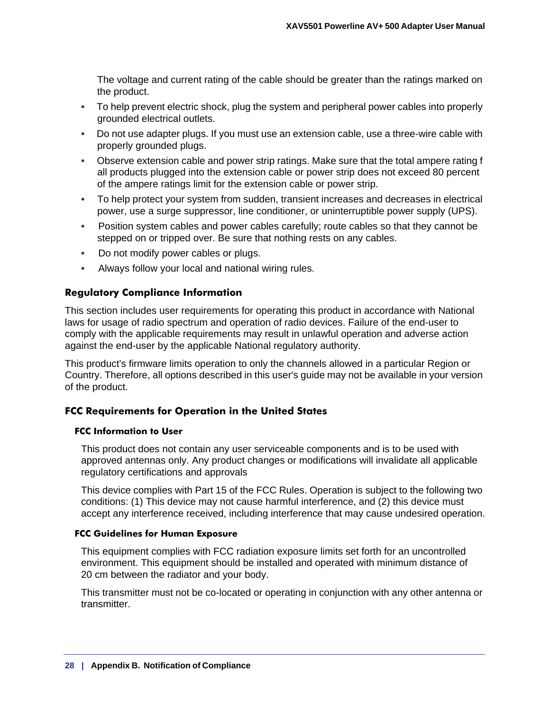The voltage and current rating of the cable should be greater than the ratings marked on the product.

- To help prevent electric shock, plug the system and peripheral power cables into properly grounded electrical outlets.
- Do not use adapter plugs. If you must use an extension cable, use a three-wire cable with properly grounded plugs.
- Observe extension cable and power strip ratings. Make sure that the total ampere rating f all products plugged into the extension cable or power strip does not exceed 80 percent of the ampere ratings limit for the extension cable or power strip.
- To help protect your system from sudden, transient increases and decreases in electrical power, use a surge suppressor, line conditioner, or uninterruptible power supply (UPS).
- Position system cables and power cables carefully; route cables so that they cannot be stepped on or tripped over. Be sure that nothing rests on any cables.
- Do not modify power cables or plugs.
- Always follow your local and national wiring rules.

#### **Regulatory Compliance Information**

This section includes user requirements for operating this product in accordance with National laws for usage of radio spectrum and operation of radio devices. Failure of the end-user to comply with the applicable requirements may result in unlawful operation and adverse action against the end-user by the applicable National regulatory authority.

This product's firmware limits operation to only the channels allowed in a particular Region or Country. Therefore, all options described in this user's guide may not be available in your version of the product.

#### **FCC Requirements for Operation in the United States**

#### **FCC Information to User**

This product does not contain any user serviceable components and is to be used with approved antennas only. Any product changes or modifications will invalidate all applicable regulatory certifications and approvals

This device complies with Part 15 of the FCC Rules. Operation is subject to the following two conditions: (1) This device may not cause harmful interference, and (2) this device must accept any interference received, including interference that may cause undesired operation.

#### **FCC Guidelines for Human Exposure**

This equipment complies with FCC radiation exposure limits set forth for an uncontrolled environment. This equipment should be installed and operated with minimum distance of 20 cm between the radiator and your body.

This transmitter must not be co-located or operating in conjunction with any other antenna or transmitter.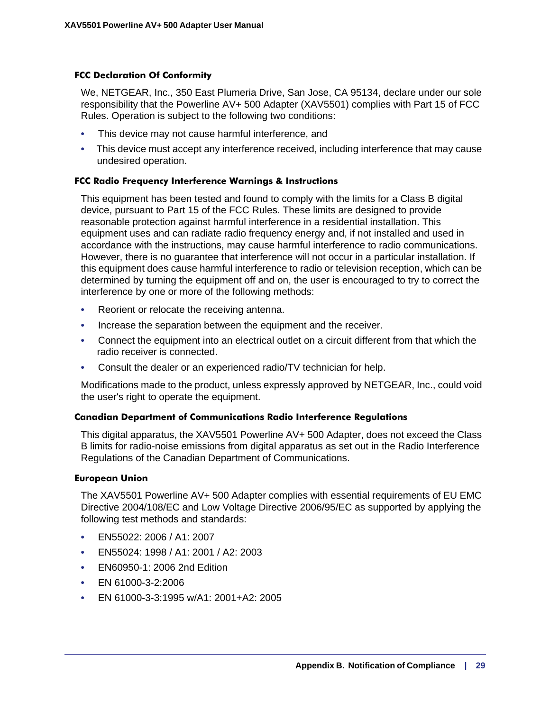### **FCC Declaration Of Conformity**

We, NETGEAR, Inc., 350 East Plumeria Drive, San Jose, CA 95134, declare under our sole responsibility that the Powerline AV+ 500 Adapter (XAV5501) complies with Part 15 of FCC Rules. Operation is subject to the following two conditions:

- This device may not cause harmful interference, and
- This device must accept any interference received, including interference that may cause undesired operation.

### **FCC Radio Frequency Interference Warnings & Instructions**

This equipment has been tested and found to comply with the limits for a Class B digital device, pursuant to Part 15 of the FCC Rules. These limits are designed to provide reasonable protection against harmful interference in a residential installation. This equipment uses and can radiate radio frequency energy and, if not installed and used in accordance with the instructions, may cause harmful interference to radio communications. However, there is no guarantee that interference will not occur in a particular installation. If this equipment does cause harmful interference to radio or television reception, which can be determined by turning the equipment off and on, the user is encouraged to try to correct the interference by one or more of the following methods:

- Reorient or relocate the receiving antenna.
- Increase the separation between the equipment and the receiver.
- Connect the equipment into an electrical outlet on a circuit different from that which the radio receiver is connected.
- Consult the dealer or an experienced radio/TV technician for help.

Modifications made to the product, unless expressly approved by NETGEAR, Inc., could void the user's right to operate the equipment.

#### **Canadian Department of Communications Radio Interference Regulations**

This digital apparatus, the XAV5501 Powerline AV+ 500 Adapter, does not exceed the Class B limits for radio-noise emissions from digital apparatus as set out in the Radio Interference Regulations of the Canadian Department of Communications.

#### **European Union**

The XAV5501 Powerline AV+ 500 Adapter complies with essential requirements of EU EMC Directive 2004/108/EC and Low Voltage Directive 2006/95/EC as supported by applying the following test methods and standards:

- EN55022: 2006 / A1: 2007
- EN55024: 1998 / A1: 2001 / A2: 2003
- EN60950-1: 2006 2nd Edition
- EN 61000-3-2:2006
- EN 61000-3-3:1995 w/A1: 2001+A2: 2005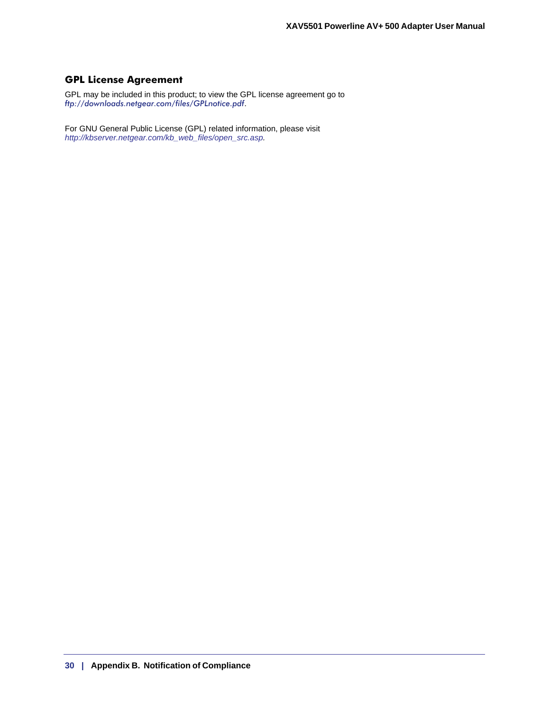## **GPL License Agreement**

GPL may be included in this product; to view the GPL license agreement go to *ftp://downloads.netgear.com/files/GPLnotice.pdf*.

For GNU General Public License (GPL) related information, please visit *http://kbserver.netgear.com/kb\_web\_files/open\_src.asp.*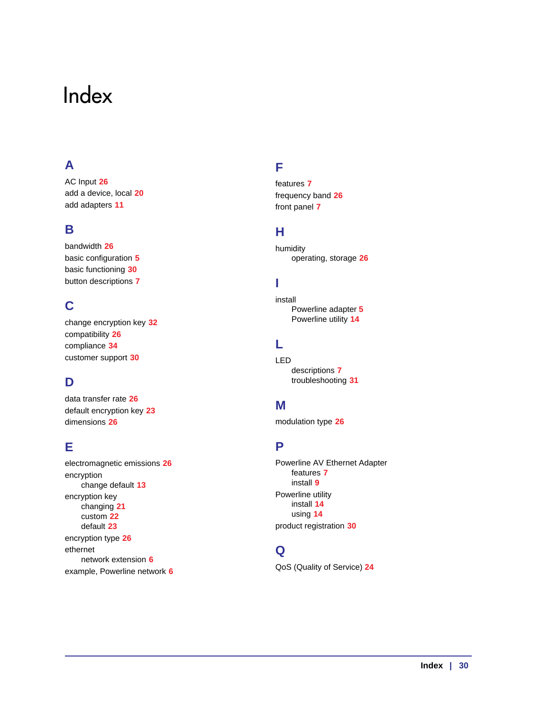# <span id="page-30-0"></span>Index

# **A**

AC Input **26** add a device, local **[20](#page-17-3)** add adapters **11**

## **B**

bandwidth **26** basic configuration **[5](#page-3-2)** basic functioning **[30](#page-20-3)** button descriptions **[7](#page-4-4)**

## **C**

change encryption key **32** compatibility **26** compliance **[34](#page-26-1)** customer support **[30](#page-20-4)**

# **D**

data transfer rate **26** default encryption key **[23](#page-19-1)** dimensions **26**

## **E**

electromagnetic emissions **26** encryption change default **13** encryption key changing **21** custom **22** default **[23](#page-19-1)** encryption type **26** ethernet network extension **[6](#page-3-3)** example, Powerline network **6**

## **F**

features **[7](#page-4-5)** frequency band **26** front panel **[7](#page-4-6)**

## **H**

humidity operating, storage **26**

## **I**

install Powerline adapter **[5](#page-3-4)** Powerline utility **[14](#page-11-3)**

## **L**

LED descriptions **[7](#page-4-4)** troubleshooting **[31](#page-21-1)**

## **M**

modulation type **26**

## **P**

Powerline AV Ethernet Adapter features **[7](#page-4-5)** install **[9](#page-6-2)** Powerline utility install **[14](#page-11-4)** using **[14](#page-11-5)** product registration **[30](#page-20-5)**

## **Q**

QoS (Quality of Service) **24**